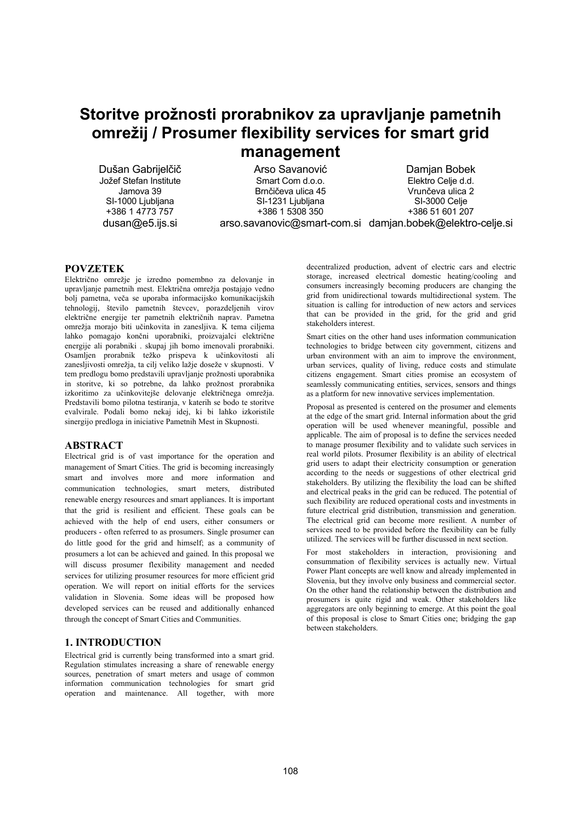# Storitve prožnosti prorabnikov za upravljanje pametnih omrežij / Prosumer flexibility services for smart grid **management**

Dušan Gabrijelčič Jožef Stefan Institute Jamova 39 SI-1000 Ljubljana  $+386$  1 4773 757  $d$ usan $@e5$ .ijs.si

Arso Savanović Smart Com d.o.o. Brnčičeva ulica 45 SI-1231 Ljubljana +386 1 5308 350

arso.savanovic@smart-com.si damjan.bobek@elektro-celje.si Damian Bobek Elektro Celie d.d. Vrunčeva ulica 2 SI-3000 Celie +386 51 601 207

**POVZETEK** Električno omrežje je izredno pomembno za delovanje in upravljanje pametnih mest. Električna omrežja postajajo vedno bolj pametna, veča se uporaba informacijsko komunikacijskih tehnologij, število pametnih števcev, porazdeljenih virov električne energije ter pametnih električnih naprav. Pametna omrežja morajo biti učinkovita in zanesljiva. K tema ciljema lahko pomagajo končni uporabniki, proizvajalci električne energije ali porabniki . skupaj jih bomo imenovali prorabniki. Osamljen prorabnik težko prispeva k učinkovitosti ali zanesljivosti omrežja, ta cilj veliko lažje doseže v skupnosti. V tem predlogu bomo predstavili upravljanje prožnosti uporabnika in storitve, ki so potrebne, da lahko prožnost prorabnika izkoritimo za učinkovitejše delovanje električnega omrežja. Predstavili bomo pilotna testiranja, v katerih se bodo te storitve evalvirale. Podali bomo nekaj idej, ki bi lahko izkoristile sinergijo predloga in iniciative Pametnih Mest in Skupnosti.

#### **ABSTRACT**

Electrical grid is of vast importance for the operation and management of Smart Cities. The grid is becoming increasingly smart and involves more and more information and communication technologies, smart meters, distributed renewable energy resources and smart appliances. It is important that the grid is resilient and efficient. These goals can be achieved with the help of end users, either consumers or producers - often referred to as prosumers. Single prosumer can do little good for the grid and himself; as a community of prosumers a lot can be achieved and gained. In this proposal we will discuss prosumer flexibility management and needed services for utilizing prosumer resources for more efficient grid operation. We will report on initial efforts for the services validation in Slovenia. Some ideas will be proposed how developed services can be reused and additionally enhanced through the concept of Smart Cities and Communities.

#### **1. INTRODUCTION**

Electrical grid is currently being transformed into a smart grid. Regulation stimulates increasing a share of renewable energy sources, penetration of smart meters and usage of common information communication technologies for smart grid operation and maintenance. All together, with more

decentralized production, advent of electric cars and electric storage, increased electrical domestic heating/cooling and consumers increasingly becoming producers are changing the grid from unidirectional towards multidirectional system. The situation is calling for introduction of new actors and services that can be provided in the grid, for the grid and grid stakeholders interest.

Smart cities on the other hand uses information communication technologies to bridge between city government, citizens and urban environment with an aim to improve the environment, urban services, quality of living, reduce costs and stimulate citizens engagement. Smart cities promise an ecosystem of seamlessly communicating entities, services, sensors and things as a platform for new innovative services implementation.

Proposal as presented is centered on the prosumer and elements at the edge of the smart grid. Internal information about the grid operation will be used whenever meaningful, possible and applicable. 7he aim of proposal is to define the services needed to manage prosumer flexibility and to validate such services in real world pilots. Prosumer flexibility is an ability of electrical grid users to adapt their electricity consumption or generation according to the needs or suggestions of other electrical grid stakeholders. By utilizing the flexibility the load can be shifted and electrical peaks in the grid can be reduced. The potential of such flexibility are reduced operational costs and investments in future electrical grid distribution, transmission and generation. The electrical grid can become more resilient. A number of services need to be provided before the flexibility can be fully utilized. The services will be further discussed in next section.

For most stakeholders in interaction, provisioning and consummation of flexibility services is actually new. Virtual Power Plant concepts are well know and already implemented in Slovenia, but they involve only business and commercial sector. On the other hand the relationship between the distribution and prosumers is quite rigid and weak. Other stakeholders like aggregators are only beginning to emerge. At this point the goal of this proposal is close to Smart Cities one; bridging the gap between stakeholders.